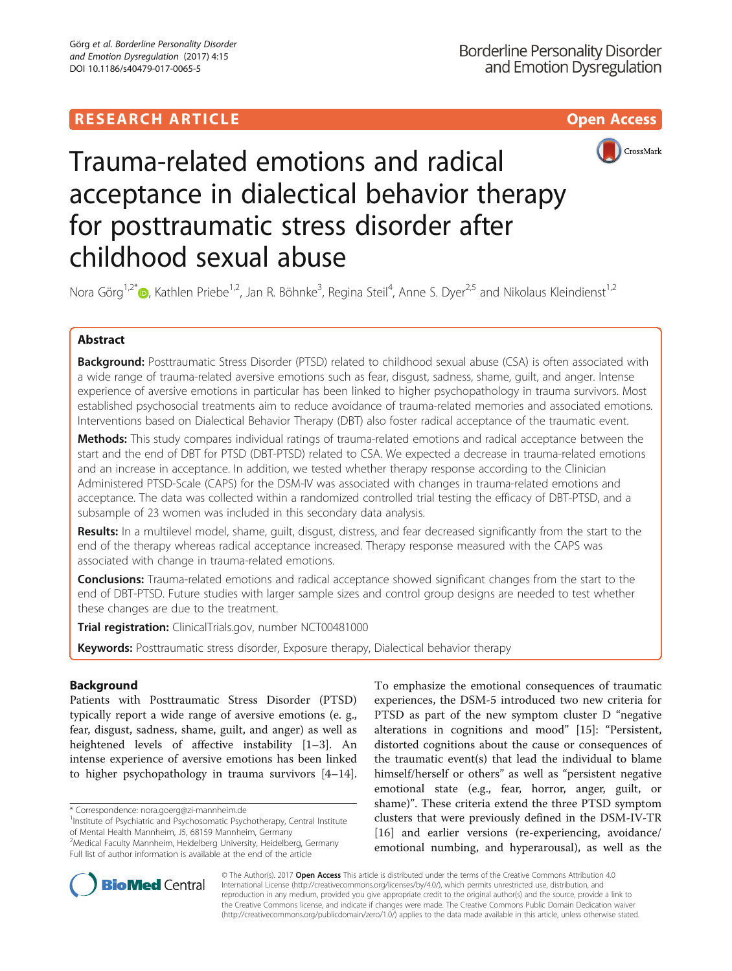

# Trauma-related emotions and radical acceptance in dialectical behavior therapy for posttraumatic stress disorder after childhood sexual abuse

Nora Görg<sup>1,2[\\*](http://orcid.org/0000-0002-6188-0860)</sup>®, Kathlen Priebe<sup>1,2</sup>, Jan R. Böhnke<sup>3</sup>, Regina Steil<sup>4</sup>, Anne S. Dyer<sup>2,5</sup> and Nikolaus Kleindienst<sup>1,2</sup>

# Abstract

Background: Posttraumatic Stress Disorder (PTSD) related to childhood sexual abuse (CSA) is often associated with a wide range of trauma-related aversive emotions such as fear, disgust, sadness, shame, guilt, and anger. Intense experience of aversive emotions in particular has been linked to higher psychopathology in trauma survivors. Most established psychosocial treatments aim to reduce avoidance of trauma-related memories and associated emotions. Interventions based on Dialectical Behavior Therapy (DBT) also foster radical acceptance of the traumatic event.

Methods: This study compares individual ratings of trauma-related emotions and radical acceptance between the start and the end of DBT for PTSD (DBT-PTSD) related to CSA. We expected a decrease in trauma-related emotions and an increase in acceptance. In addition, we tested whether therapy response according to the Clinician Administered PTSD-Scale (CAPS) for the DSM-IV was associated with changes in trauma-related emotions and acceptance. The data was collected within a randomized controlled trial testing the efficacy of DBT-PTSD, and a subsample of 23 women was included in this secondary data analysis.

Results: In a multilevel model, shame, guilt, disgust, distress, and fear decreased significantly from the start to the end of the therapy whereas radical acceptance increased. Therapy response measured with the CAPS was associated with change in trauma-related emotions.

**Conclusions:** Trauma-related emotions and radical acceptance showed significant changes from the start to the end of DBT-PTSD. Future studies with larger sample sizes and control group designs are needed to test whether these changes are due to the treatment.

Trial registration: ClinicalTrials.gov, number [NCT00481000](https://clinicaltrials.gov/ct2/show/NCT00481000?term=NCT00481000&rank=1)

Keywords: Posttraumatic stress disorder, Exposure therapy, Dialectical behavior therapy

## Background

Patients with Posttraumatic Stress Disorder (PTSD) typically report a wide range of aversive emotions (e. g., fear, disgust, sadness, shame, guilt, and anger) as well as heightened levels of affective instability [\[1](#page-9-0)–[3\]](#page-9-0). An intense experience of aversive emotions has been linked to higher psychopathology in trauma survivors [[4](#page-9-0)–[14](#page-9-0)].

\* Correspondence: [nora.goerg@zi-mannheim.de](mailto:nora.goerg@zi-mannheim.de) <sup>1</sup>

Full list of author information is available at the end of the article

To emphasize the emotional consequences of traumatic experiences, the DSM-5 introduced two new criteria for PTSD as part of the new symptom cluster D "negative alterations in cognitions and mood" [[15\]](#page-9-0): "Persistent, distorted cognitions about the cause or consequences of the traumatic event(s) that lead the individual to blame himself/herself or others" as well as "persistent negative emotional state (e.g., fear, horror, anger, guilt, or shame)". These criteria extend the three PTSD symptom clusters that were previously defined in the DSM-IV-TR [[16\]](#page-9-0) and earlier versions (re-experiencing, avoidance/ emotional numbing, and hyperarousal), as well as the



© The Author(s). 2017 **Open Access** This article is distributed under the terms of the Creative Commons Attribution 4.0 International License [\(http://creativecommons.org/licenses/by/4.0/](http://creativecommons.org/licenses/by/4.0/)), which permits unrestricted use, distribution, and reproduction in any medium, provided you give appropriate credit to the original author(s) and the source, provide a link to the Creative Commons license, and indicate if changes were made. The Creative Commons Public Domain Dedication waiver [\(http://creativecommons.org/publicdomain/zero/1.0/](http://creativecommons.org/publicdomain/zero/1.0/)) applies to the data made available in this article, unless otherwise stated.

<sup>&</sup>lt;sup>1</sup>Institute of Psychiatric and Psychosomatic Psychotherapy, Central Institute of Mental Health Mannheim, J5, 68159 Mannheim, Germany

<sup>&</sup>lt;sup>2</sup>Medical Faculty Mannheim, Heidelberg University, Heidelberg, Germany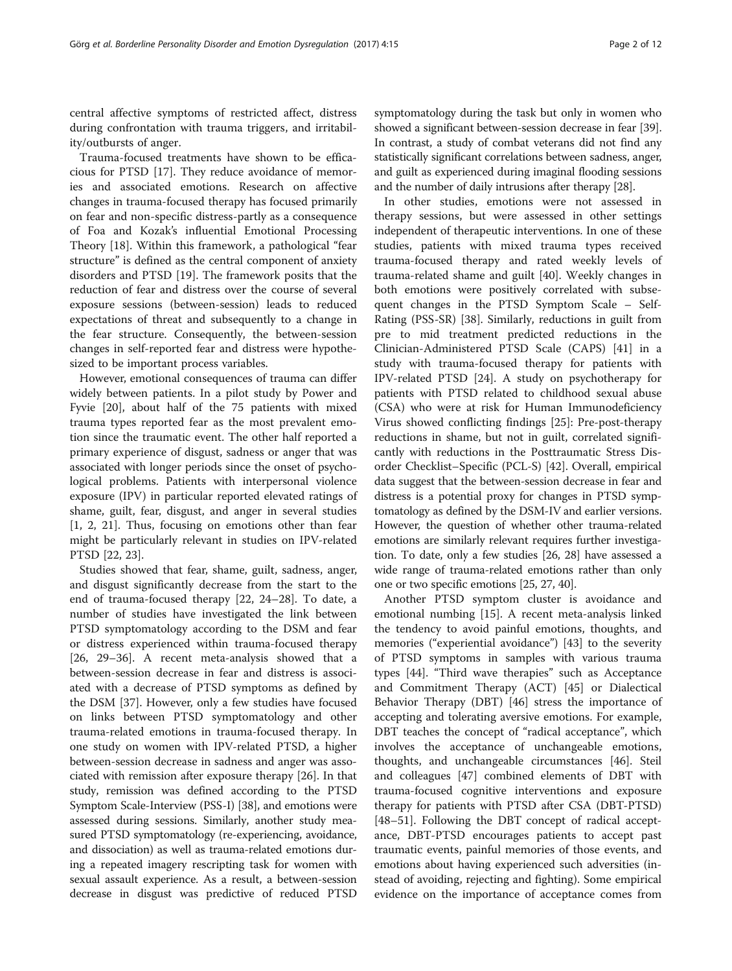central affective symptoms of restricted affect, distress during confrontation with trauma triggers, and irritability/outbursts of anger.

Trauma-focused treatments have shown to be efficacious for PTSD [[17\]](#page-9-0). They reduce avoidance of memories and associated emotions. Research on affective changes in trauma-focused therapy has focused primarily on fear and non-specific distress-partly as a consequence of Foa and Kozak's influential Emotional Processing Theory [[18](#page-9-0)]. Within this framework, a pathological "fear structure" is defined as the central component of anxiety disorders and PTSD [\[19](#page-9-0)]. The framework posits that the reduction of fear and distress over the course of several exposure sessions (between-session) leads to reduced expectations of threat and subsequently to a change in the fear structure. Consequently, the between-session changes in self-reported fear and distress were hypothesized to be important process variables.

However, emotional consequences of trauma can differ widely between patients. In a pilot study by Power and Fyvie [\[20](#page-9-0)], about half of the 75 patients with mixed trauma types reported fear as the most prevalent emotion since the traumatic event. The other half reported a primary experience of disgust, sadness or anger that was associated with longer periods since the onset of psychological problems. Patients with interpersonal violence exposure (IPV) in particular reported elevated ratings of shame, guilt, fear, disgust, and anger in several studies [[1, 2](#page-9-0), [21\]](#page-9-0). Thus, focusing on emotions other than fear might be particularly relevant in studies on IPV-related PTSD [\[22, 23\]](#page-9-0).

Studies showed that fear, shame, guilt, sadness, anger, and disgust significantly decrease from the start to the end of trauma-focused therapy [[22, 24](#page-9-0)–[28\]](#page-9-0). To date, a number of studies have investigated the link between PTSD symptomatology according to the DSM and fear or distress experienced within trauma-focused therapy [[26,](#page-9-0) [29](#page-10-0)–[36](#page-10-0)]. A recent meta-analysis showed that a between-session decrease in fear and distress is associated with a decrease of PTSD symptoms as defined by the DSM [[37](#page-10-0)]. However, only a few studies have focused on links between PTSD symptomatology and other trauma-related emotions in trauma-focused therapy. In one study on women with IPV-related PTSD, a higher between-session decrease in sadness and anger was associated with remission after exposure therapy [[26\]](#page-9-0). In that study, remission was defined according to the PTSD Symptom Scale-Interview (PSS-I) [[38](#page-10-0)], and emotions were assessed during sessions. Similarly, another study measured PTSD symptomatology (re-experiencing, avoidance, and dissociation) as well as trauma-related emotions during a repeated imagery rescripting task for women with sexual assault experience. As a result, a between-session decrease in disgust was predictive of reduced PTSD symptomatology during the task but only in women who showed a significant between-session decrease in fear [[39](#page-10-0)]. In contrast, a study of combat veterans did not find any statistically significant correlations between sadness, anger, and guilt as experienced during imaginal flooding sessions and the number of daily intrusions after therapy [\[28\]](#page-9-0).

In other studies, emotions were not assessed in therapy sessions, but were assessed in other settings independent of therapeutic interventions. In one of these studies, patients with mixed trauma types received trauma-focused therapy and rated weekly levels of trauma-related shame and guilt [[40\]](#page-10-0). Weekly changes in both emotions were positively correlated with subsequent changes in the PTSD Symptom Scale – Self-Rating (PSS-SR) [\[38\]](#page-10-0). Similarly, reductions in guilt from pre to mid treatment predicted reductions in the Clinician-Administered PTSD Scale (CAPS) [[41\]](#page-10-0) in a study with trauma-focused therapy for patients with IPV-related PTSD [[24\]](#page-9-0). A study on psychotherapy for patients with PTSD related to childhood sexual abuse (CSA) who were at risk for Human Immunodeficiency Virus showed conflicting findings [\[25](#page-9-0)]: Pre-post-therapy reductions in shame, but not in guilt, correlated significantly with reductions in the Posttraumatic Stress Disorder Checklist–Specific (PCL-S) [\[42](#page-10-0)]. Overall, empirical data suggest that the between-session decrease in fear and distress is a potential proxy for changes in PTSD symptomatology as defined by the DSM-IV and earlier versions. However, the question of whether other trauma-related emotions are similarly relevant requires further investigation. To date, only a few studies [\[26, 28](#page-9-0)] have assessed a wide range of trauma-related emotions rather than only one or two specific emotions [[25](#page-9-0), [27,](#page-9-0) [40](#page-10-0)].

Another PTSD symptom cluster is avoidance and emotional numbing [[15\]](#page-9-0). A recent meta-analysis linked the tendency to avoid painful emotions, thoughts, and memories ("experiential avoidance") [\[43](#page-10-0)] to the severity of PTSD symptoms in samples with various trauma types [[44](#page-10-0)]. "Third wave therapies" such as Acceptance and Commitment Therapy (ACT) [\[45](#page-10-0)] or Dialectical Behavior Therapy (DBT) [\[46](#page-10-0)] stress the importance of accepting and tolerating aversive emotions. For example, DBT teaches the concept of "radical acceptance", which involves the acceptance of unchangeable emotions, thoughts, and unchangeable circumstances [[46](#page-10-0)]. Steil and colleagues [[47](#page-10-0)] combined elements of DBT with trauma-focused cognitive interventions and exposure therapy for patients with PTSD after CSA (DBT-PTSD) [[48](#page-10-0)–[51](#page-10-0)]. Following the DBT concept of radical acceptance, DBT-PTSD encourages patients to accept past traumatic events, painful memories of those events, and emotions about having experienced such adversities (instead of avoiding, rejecting and fighting). Some empirical evidence on the importance of acceptance comes from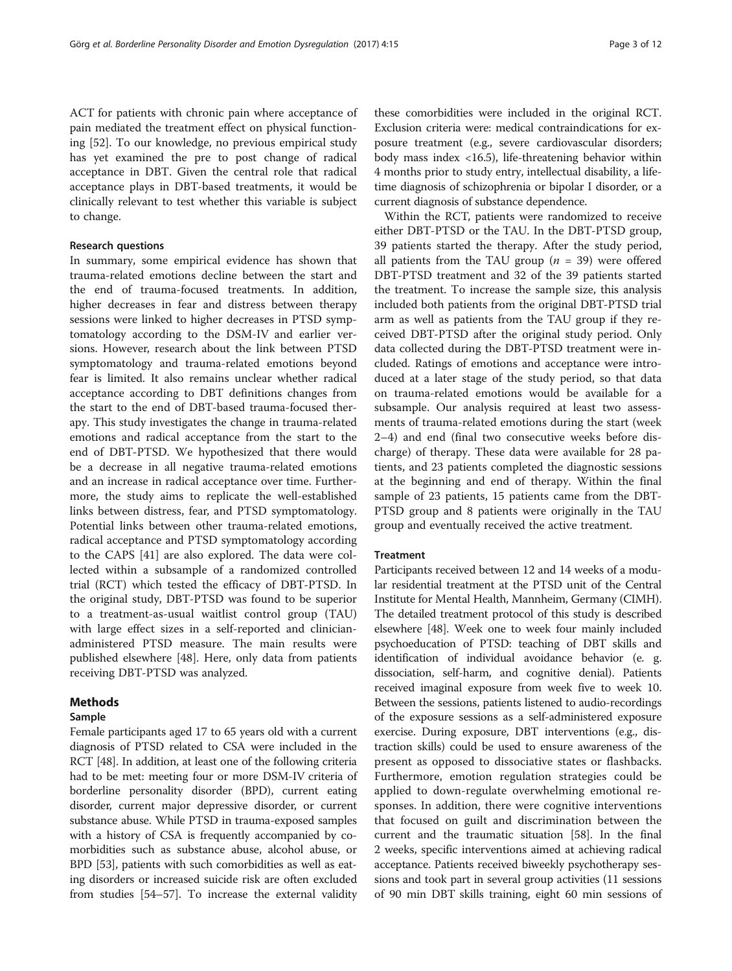ACT for patients with chronic pain where acceptance of pain mediated the treatment effect on physical functioning [[52\]](#page-10-0). To our knowledge, no previous empirical study has yet examined the pre to post change of radical acceptance in DBT. Given the central role that radical acceptance plays in DBT-based treatments, it would be clinically relevant to test whether this variable is subject to change.

## Research questions

In summary, some empirical evidence has shown that trauma-related emotions decline between the start and the end of trauma-focused treatments. In addition, higher decreases in fear and distress between therapy sessions were linked to higher decreases in PTSD symptomatology according to the DSM-IV and earlier versions. However, research about the link between PTSD symptomatology and trauma-related emotions beyond fear is limited. It also remains unclear whether radical acceptance according to DBT definitions changes from the start to the end of DBT-based trauma-focused therapy. This study investigates the change in trauma-related emotions and radical acceptance from the start to the end of DBT-PTSD. We hypothesized that there would be a decrease in all negative trauma-related emotions and an increase in radical acceptance over time. Furthermore, the study aims to replicate the well-established links between distress, fear, and PTSD symptomatology. Potential links between other trauma-related emotions, radical acceptance and PTSD symptomatology according to the CAPS [[41\]](#page-10-0) are also explored. The data were collected within a subsample of a randomized controlled trial (RCT) which tested the efficacy of DBT-PTSD. In the original study, DBT-PTSD was found to be superior to a treatment-as-usual waitlist control group (TAU) with large effect sizes in a self-reported and clinicianadministered PTSD measure. The main results were published elsewhere [[48\]](#page-10-0). Here, only data from patients receiving DBT-PTSD was analyzed.

## Methods

## Sample

Female participants aged 17 to 65 years old with a current diagnosis of PTSD related to CSA were included in the RCT [[48](#page-10-0)]. In addition, at least one of the following criteria had to be met: meeting four or more DSM-IV criteria of borderline personality disorder (BPD), current eating disorder, current major depressive disorder, or current substance abuse. While PTSD in trauma-exposed samples with a history of CSA is frequently accompanied by comorbidities such as substance abuse, alcohol abuse, or BPD [\[53\]](#page-10-0), patients with such comorbidities as well as eating disorders or increased suicide risk are often excluded from studies [\[54](#page-10-0)–[57](#page-10-0)]. To increase the external validity these comorbidities were included in the original RCT. Exclusion criteria were: medical contraindications for exposure treatment (e.g., severe cardiovascular disorders; body mass index <16.5), life-threatening behavior within 4 months prior to study entry, intellectual disability, a lifetime diagnosis of schizophrenia or bipolar I disorder, or a current diagnosis of substance dependence.

Within the RCT, patients were randomized to receive either DBT-PTSD or the TAU. In the DBT-PTSD group, 39 patients started the therapy. After the study period, all patients from the TAU group ( $n = 39$ ) were offered DBT-PTSD treatment and 32 of the 39 patients started the treatment. To increase the sample size, this analysis included both patients from the original DBT-PTSD trial arm as well as patients from the TAU group if they received DBT-PTSD after the original study period. Only data collected during the DBT-PTSD treatment were included. Ratings of emotions and acceptance were introduced at a later stage of the study period, so that data on trauma-related emotions would be available for a subsample. Our analysis required at least two assessments of trauma-related emotions during the start (week 2–4) and end (final two consecutive weeks before discharge) of therapy. These data were available for 28 patients, and 23 patients completed the diagnostic sessions at the beginning and end of therapy. Within the final sample of 23 patients, 15 patients came from the DBT-PTSD group and 8 patients were originally in the TAU group and eventually received the active treatment.

## **Treatment**

Participants received between 12 and 14 weeks of a modular residential treatment at the PTSD unit of the Central Institute for Mental Health, Mannheim, Germany (CIMH). The detailed treatment protocol of this study is described elsewhere [[48](#page-10-0)]. Week one to week four mainly included psychoeducation of PTSD: teaching of DBT skills and identification of individual avoidance behavior (e. g. dissociation, self-harm, and cognitive denial). Patients received imaginal exposure from week five to week 10. Between the sessions, patients listened to audio-recordings of the exposure sessions as a self-administered exposure exercise. During exposure, DBT interventions (e.g., distraction skills) could be used to ensure awareness of the present as opposed to dissociative states or flashbacks. Furthermore, emotion regulation strategies could be applied to down-regulate overwhelming emotional responses. In addition, there were cognitive interventions that focused on guilt and discrimination between the current and the traumatic situation [\[58](#page-10-0)]. In the final 2 weeks, specific interventions aimed at achieving radical acceptance. Patients received biweekly psychotherapy sessions and took part in several group activities (11 sessions of 90 min DBT skills training, eight 60 min sessions of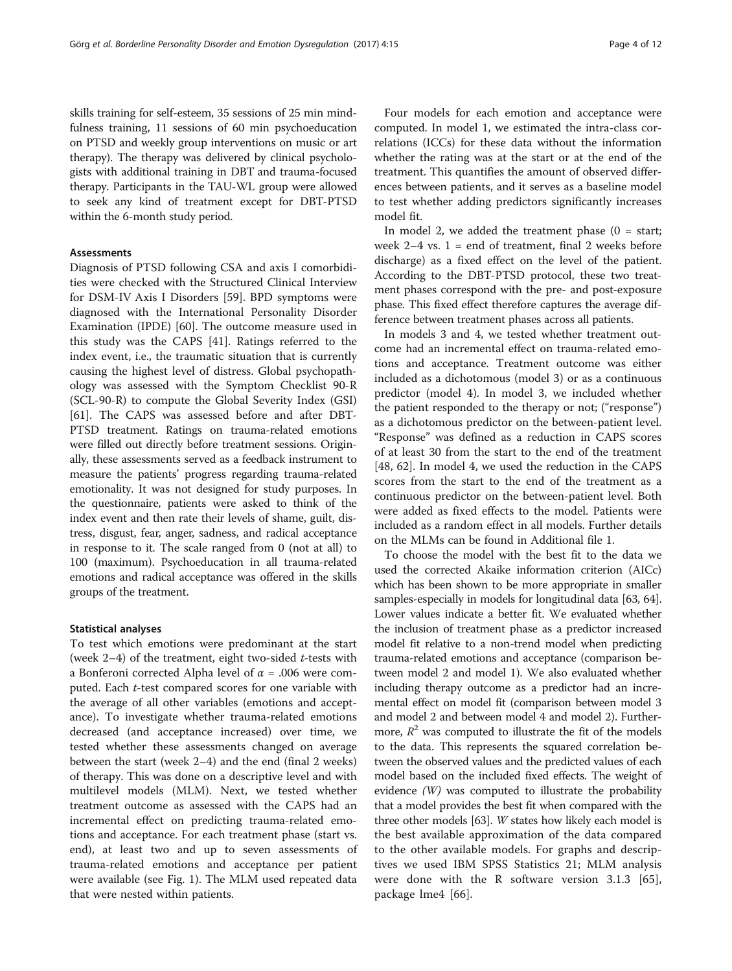skills training for self-esteem, 35 sessions of 25 min mindfulness training, 11 sessions of 60 min psychoeducation on PTSD and weekly group interventions on music or art therapy). The therapy was delivered by clinical psychologists with additional training in DBT and trauma-focused therapy. Participants in the TAU-WL group were allowed to seek any kind of treatment except for DBT-PTSD within the 6-month study period.

## **Assessments**

Diagnosis of PTSD following CSA and axis I comorbidities were checked with the Structured Clinical Interview for DSM-IV Axis I Disorders [[59\]](#page-10-0). BPD symptoms were diagnosed with the International Personality Disorder Examination (IPDE) [[60\]](#page-10-0). The outcome measure used in this study was the CAPS [[41\]](#page-10-0). Ratings referred to the index event, i.e., the traumatic situation that is currently causing the highest level of distress. Global psychopathology was assessed with the Symptom Checklist 90-R (SCL-90-R) to compute the Global Severity Index (GSI) [[61\]](#page-10-0). The CAPS was assessed before and after DBT-PTSD treatment. Ratings on trauma-related emotions were filled out directly before treatment sessions. Originally, these assessments served as a feedback instrument to measure the patients' progress regarding trauma-related emotionality. It was not designed for study purposes. In the questionnaire, patients were asked to think of the index event and then rate their levels of shame, guilt, distress, disgust, fear, anger, sadness, and radical acceptance in response to it. The scale ranged from 0 (not at all) to 100 (maximum). Psychoeducation in all trauma-related emotions and radical acceptance was offered in the skills groups of the treatment.

## Statistical analyses

To test which emotions were predominant at the start (week  $2-4$ ) of the treatment, eight two-sided *t*-tests with a Bonferoni corrected Alpha level of  $\alpha = 0.006$  were computed. Each *t*-test compared scores for one variable with the average of all other variables (emotions and acceptance). To investigate whether trauma-related emotions decreased (and acceptance increased) over time, we tested whether these assessments changed on average between the start (week 2–4) and the end (final 2 weeks) of therapy. This was done on a descriptive level and with multilevel models (MLM). Next, we tested whether treatment outcome as assessed with the CAPS had an incremental effect on predicting trauma-related emotions and acceptance. For each treatment phase (start vs. end), at least two and up to seven assessments of trauma-related emotions and acceptance per patient were available (see Fig. [1\)](#page-4-0). The MLM used repeated data that were nested within patients.

Four models for each emotion and acceptance were computed. In model 1, we estimated the intra-class correlations (ICCs) for these data without the information whether the rating was at the start or at the end of the treatment. This quantifies the amount of observed differences between patients, and it serves as a baseline model to test whether adding predictors significantly increases model fit.

In model 2, we added the treatment phase  $(0 = start;$ week  $2-4$  vs.  $1 =$  end of treatment, final 2 weeks before discharge) as a fixed effect on the level of the patient. According to the DBT-PTSD protocol, these two treatment phases correspond with the pre- and post-exposure phase. This fixed effect therefore captures the average difference between treatment phases across all patients.

In models 3 and 4, we tested whether treatment outcome had an incremental effect on trauma-related emotions and acceptance. Treatment outcome was either included as a dichotomous (model 3) or as a continuous predictor (model 4). In model 3, we included whether the patient responded to the therapy or not; ("response") as a dichotomous predictor on the between-patient level. "Response" was defined as a reduction in CAPS scores of at least 30 from the start to the end of the treatment [[48, 62\]](#page-10-0). In model 4, we used the reduction in the CAPS scores from the start to the end of the treatment as a continuous predictor on the between-patient level. Both were added as fixed effects to the model. Patients were included as a random effect in all models. Further details on the MLMs can be found in Additional file [1](#page-8-0).

To choose the model with the best fit to the data we used the corrected Akaike information criterion (AICc) which has been shown to be more appropriate in smaller samples-especially in models for longitudinal data [\[63, 64](#page-10-0)]. Lower values indicate a better fit. We evaluated whether the inclusion of treatment phase as a predictor increased model fit relative to a non-trend model when predicting trauma-related emotions and acceptance (comparison between model 2 and model 1). We also evaluated whether including therapy outcome as a predictor had an incremental effect on model fit (comparison between model 3 and model 2 and between model 4 and model 2). Furthermore,  $R^2$  was computed to illustrate the fit of the models to the data. This represents the squared correlation between the observed values and the predicted values of each model based on the included fixed effects. The weight of evidence (W) was computed to illustrate the probability that a model provides the best fit when compared with the three other models [\[63\]](#page-10-0). W states how likely each model is the best available approximation of the data compared to the other available models. For graphs and descriptives we used IBM SPSS Statistics 21; MLM analysis were done with the R software version 3.1.3 [\[65](#page-10-0)], package lme4 [\[66](#page-10-0)].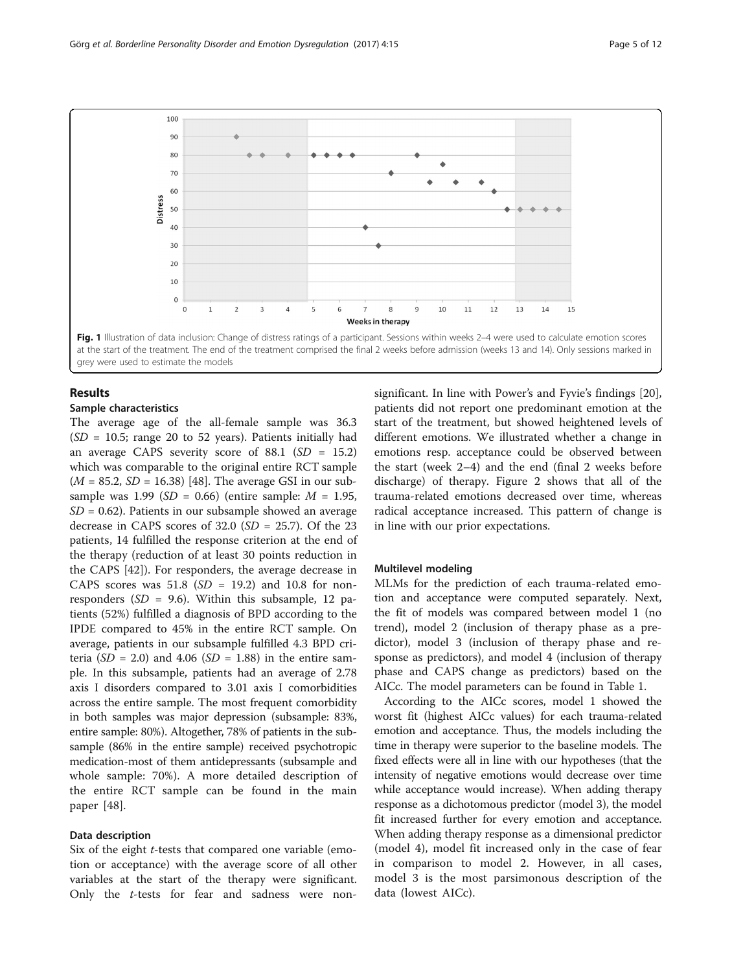<span id="page-4-0"></span>

grey were used to estimate the models

## Results

## Sample characteristics

The average age of the all-female sample was 36.3  $(SD = 10.5;$  range 20 to 52 years). Patients initially had an average CAPS severity score of  $88.1$  (SD = 15.2) which was comparable to the original entire RCT sample  $(M = 85.2, SD = 16.38)$  [\[48](#page-10-0)]. The average GSI in our subsample was  $1.99$  (*SD* = 0.66) (entire sample:  $M = 1.95$ ,  $SD = 0.62$ ). Patients in our subsample showed an average decrease in CAPS scores of  $32.0$  (SD = 25.7). Of the 23 patients, 14 fulfilled the response criterion at the end of the therapy (reduction of at least 30 points reduction in the CAPS [\[42\]](#page-10-0)). For responders, the average decrease in CAPS scores was  $51.8$  (SD = 19.2) and 10.8 for nonresponders  $(SD = 9.6)$ . Within this subsample, 12 patients (52%) fulfilled a diagnosis of BPD according to the IPDE compared to 45% in the entire RCT sample. On average, patients in our subsample fulfilled 4.3 BPD criteria ( $SD = 2.0$ ) and  $4.06$  ( $SD = 1.88$ ) in the entire sample. In this subsample, patients had an average of 2.78 axis I disorders compared to 3.01 axis I comorbidities across the entire sample. The most frequent comorbidity in both samples was major depression (subsample: 83%, entire sample: 80%). Altogether, 78% of patients in the subsample (86% in the entire sample) received psychotropic medication-most of them antidepressants (subsample and whole sample: 70%). A more detailed description of the entire RCT sample can be found in the main paper [\[48](#page-10-0)].

## Data description

Six of the eight *t*-tests that compared one variable (emotion or acceptance) with the average score of all other variables at the start of the therapy were significant. Only the t-tests for fear and sadness were nonsignificant. In line with Power's and Fyvie's findings [\[20](#page-9-0)], patients did not report one predominant emotion at the start of the treatment, but showed heightened levels of different emotions. We illustrated whether a change in emotions resp. acceptance could be observed between the start (week 2–4) and the end (final 2 weeks before discharge) of therapy. Figure [2](#page-5-0) shows that all of the trauma-related emotions decreased over time, whereas radical acceptance increased. This pattern of change is in line with our prior expectations.

### Multilevel modeling

MLMs for the prediction of each trauma-related emotion and acceptance were computed separately. Next, the fit of models was compared between model 1 (no trend), model 2 (inclusion of therapy phase as a predictor), model 3 (inclusion of therapy phase and response as predictors), and model 4 (inclusion of therapy phase and CAPS change as predictors) based on the AICc. The model parameters can be found in Table [1](#page-5-0).

According to the AICc scores, model 1 showed the worst fit (highest AICc values) for each trauma-related emotion and acceptance. Thus, the models including the time in therapy were superior to the baseline models. The fixed effects were all in line with our hypotheses (that the intensity of negative emotions would decrease over time while acceptance would increase). When adding therapy response as a dichotomous predictor (model 3), the model fit increased further for every emotion and acceptance. When adding therapy response as a dimensional predictor (model 4), model fit increased only in the case of fear in comparison to model 2. However, in all cases, model 3 is the most parsimonous description of the data (lowest AICc).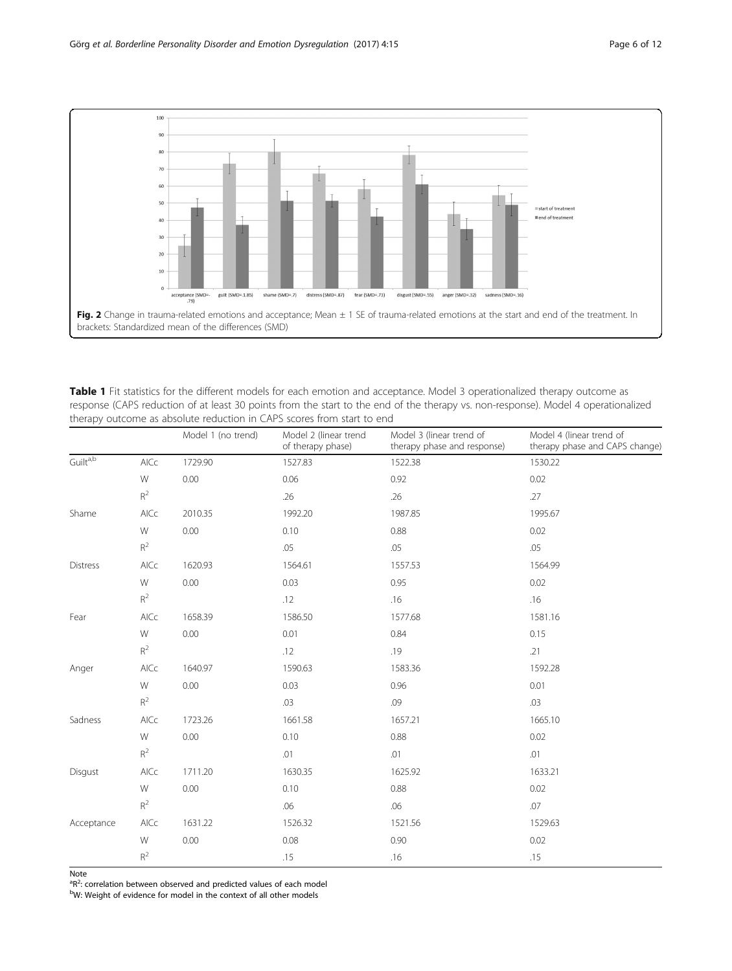<span id="page-5-0"></span>

Table 1 Fit statistics for the different models for each emotion and acceptance. Model 3 operationalized therapy outcome as response (CAPS reduction of at least 30 points from the start to the end of the therapy vs. non-response). Model 4 operationalized therapy outcome as absolute reduction in CAPS scores from start to end

|               |                | Model 1 (no trend) | Model 2 (linear trend<br>of therapy phase) | Model 3 (linear trend of<br>therapy phase and response) | Model 4 (linear trend of<br>therapy phase and CAPS change) |
|---------------|----------------|--------------------|--------------------------------------------|---------------------------------------------------------|------------------------------------------------------------|
| $Guilt^{a,b}$ | AICc           | 1729.90            | 1527.83                                    | 1522.38                                                 | 1530.22                                                    |
|               | W              | 0.00               | 0.06                                       | 0.92                                                    | 0.02                                                       |
|               | $\mathsf{R}^2$ |                    | .26                                        | .26                                                     | .27                                                        |
| Shame         | AICc           | 2010.35            | 1992.20                                    | 1987.85                                                 | 1995.67                                                    |
|               | W              | 0.00               | 0.10                                       | 0.88                                                    | 0.02                                                       |
|               | $\mathsf{R}^2$ |                    | .05                                        | .05                                                     | .05                                                        |
| Distress      | AICc           | 1620.93            | 1564.61                                    | 1557.53                                                 | 1564.99                                                    |
|               | W              | 0.00               | 0.03                                       | 0.95                                                    | 0.02                                                       |
|               | $R^2$          |                    | .12                                        | .16                                                     | .16                                                        |
| Fear          | AICc           | 1658.39            | 1586.50                                    | 1577.68                                                 | 1581.16                                                    |
|               | W              | 0.00               | 0.01                                       | 0.84                                                    | 0.15                                                       |
|               | $\mathsf{R}^2$ |                    | .12                                        | .19                                                     | .21                                                        |
| Anger         | AICc           | 1640.97            | 1590.63                                    | 1583.36                                                 | 1592.28                                                    |
|               | W              | 0.00               | 0.03                                       | 0.96                                                    | 0.01                                                       |
|               | $\mathsf{R}^2$ |                    | .03                                        | .09                                                     | .03                                                        |
| Sadness       | AICc           | 1723.26            | 1661.58                                    | 1657.21                                                 | 1665.10                                                    |
|               | W              | 0.00               | 0.10                                       | 0.88                                                    | 0.02                                                       |
|               | $\mathsf{R}^2$ |                    | .01                                        | .01                                                     | .01                                                        |
| Disgust       | AICc           | 1711.20            | 1630.35                                    | 1625.92                                                 | 1633.21                                                    |
|               | W              | 0.00               | 0.10                                       | 0.88                                                    | 0.02                                                       |
|               | $R^2$          |                    | .06                                        | .06                                                     | .07                                                        |
| Acceptance    | AICc           | 1631.22            | 1526.32                                    | 1521.56                                                 | 1529.63                                                    |
|               | W              | 0.00               | 0.08                                       | 0.90                                                    | 0.02                                                       |
|               | $\mathsf{R}^2$ |                    | .15                                        | .16                                                     | .15                                                        |

Note

<sup>a</sup>R<sup>2</sup>: correlation between observed and predicted values of each model<br><sup>b</sup>W: Weight of evidence for model in the context of all other models

bW: Weight of evidence for model in the context of all other models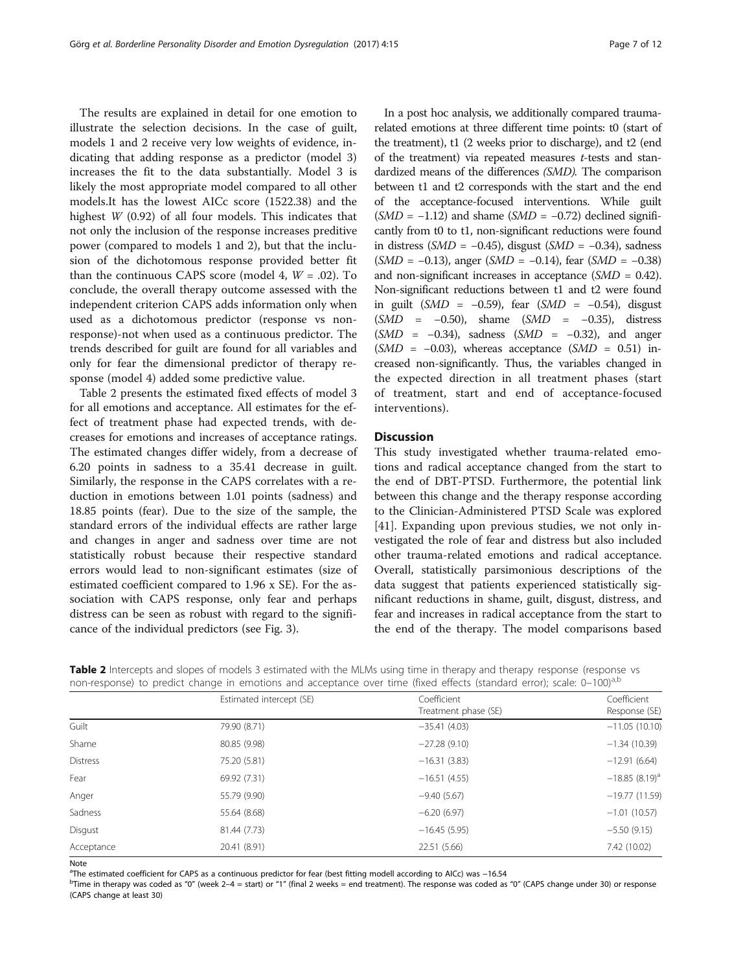The results are explained in detail for one emotion to illustrate the selection decisions. In the case of guilt, models 1 and 2 receive very low weights of evidence, indicating that adding response as a predictor (model 3) increases the fit to the data substantially. Model 3 is likely the most appropriate model compared to all other models.It has the lowest AICc score (1522.38) and the highest W (0.92) of all four models. This indicates that not only the inclusion of the response increases preditive power (compared to models 1 and 2), but that the inclusion of the dichotomous response provided better fit than the continuous CAPS score (model 4,  $W = .02$ ). To conclude, the overall therapy outcome assessed with the independent criterion CAPS adds information only when used as a dichotomous predictor (response vs nonresponse)-not when used as a continuous predictor. The trends described for guilt are found for all variables and only for fear the dimensional predictor of therapy response (model 4) added some predictive value.

Table 2 presents the estimated fixed effects of model 3 for all emotions and acceptance. All estimates for the effect of treatment phase had expected trends, with decreases for emotions and increases of acceptance ratings. The estimated changes differ widely, from a decrease of 6.20 points in sadness to a 35.41 decrease in guilt. Similarly, the response in the CAPS correlates with a reduction in emotions between 1.01 points (sadness) and 18.85 points (fear). Due to the size of the sample, the standard errors of the individual effects are rather large and changes in anger and sadness over time are not statistically robust because their respective standard errors would lead to non-significant estimates (size of estimated coefficient compared to 1.96 x SE). For the association with CAPS response, only fear and perhaps distress can be seen as robust with regard to the significance of the individual predictors (see Fig. [3\)](#page-7-0).

In a post hoc analysis, we additionally compared traumarelated emotions at three different time points: t0 (start of the treatment), t1 (2 weeks prior to discharge), and t2 (end of the treatment) via repeated measures t-tests and standardized means of the differences (SMD). The comparison between t1 and t2 corresponds with the start and the end of the acceptance-focused interventions. While guilt  $(SMD = -1.12)$  and shame  $(SMD = -0.72)$  declined significantly from t0 to t1, non-significant reductions were found in distress (SMD = −0.45), disgust (SMD = −0.34), sadness  $(SMD = -0.13)$ , anger  $(SMD = -0.14)$ , fear  $(SMD = -0.38)$ and non-significant increases in acceptance (SMD = 0.42). Non-significant reductions between t1 and t2 were found in guilt (SMD = −0.59), fear (SMD = −0.54), disgust  $(SMD = -0.50)$ , shame  $(SMD = -0.35)$ , distress  $(SMD = -0.34)$ , sadness  $(SMD = -0.32)$ , and anger  $(SMD = -0.03)$ , whereas acceptance  $(SMD = 0.51)$  increased non-significantly. Thus, the variables changed in the expected direction in all treatment phases (start of treatment, start and end of acceptance-focused interventions).

### **Discussion**

This study investigated whether trauma-related emotions and radical acceptance changed from the start to the end of DBT-PTSD. Furthermore, the potential link between this change and the therapy response according to the Clinician-Administered PTSD Scale was explored [[41\]](#page-10-0). Expanding upon previous studies, we not only investigated the role of fear and distress but also included other trauma-related emotions and radical acceptance. Overall, statistically parsimonious descriptions of the data suggest that patients experienced statistically significant reductions in shame, guilt, disgust, distress, and fear and increases in radical acceptance from the start to the end of the therapy. The model comparisons based

|                 | Estimated intercept (SE) | Coefficient<br>Treatment phase (SE) | Coefficient<br>Response (SE) |
|-----------------|--------------------------|-------------------------------------|------------------------------|
| Guilt           | 79.90 (8.71)             | $-35.41(4.03)$                      | $-11.05(10.10)$              |
| Shame           | 80.85 (9.98)             | $-27.28(9.10)$                      | $-1.34(10.39)$               |
| <b>Distress</b> | 75.20 (5.81)             | $-16.31(3.83)$                      | $-12.91(6.64)$               |
| Fear            | 69.92 (7.31)             | $-16.51(4.55)$                      | $-18.85(8.19)^{a}$           |
| Anger           | 55.79 (9.90)             | $-9.40(5.67)$                       | $-19.77(11.59)$              |
| Sadness         | 55.64 (8.68)             | $-6.20(6.97)$                       | $-1.01(10.57)$               |
| Disgust         | 81.44 (7.73)             | $-16.45(5.95)$                      | $-5.50(9.15)$                |
| Acceptance      | 20.41 (8.91)             | 22.51 (5.66)                        | 7.42 (10.02)                 |

Table 2 Intercepts and slopes of models 3 estimated with the MLMs using time in therapy and therapy response (response vs non-response) to predict change in emotions and acceptance over time (fixed effects (standard error); scale: 0–100)<sup>a,b</sup>

Note

<sup>a</sup>The estimated coefficient for CAPS as a continuous predictor for fear (best fitting modell according to AICc) was -16.54

<sup>a</sup>The estimated coefficient for CAPS as a continuous predictor for fear (best fitting modell according to AICc) was –16.54<br><sup>b</sup>Time in therapy was coded as "0" (week 2–4 = start) or "1" (final 2 weeks = end treatment). The (CAPS change at least 30)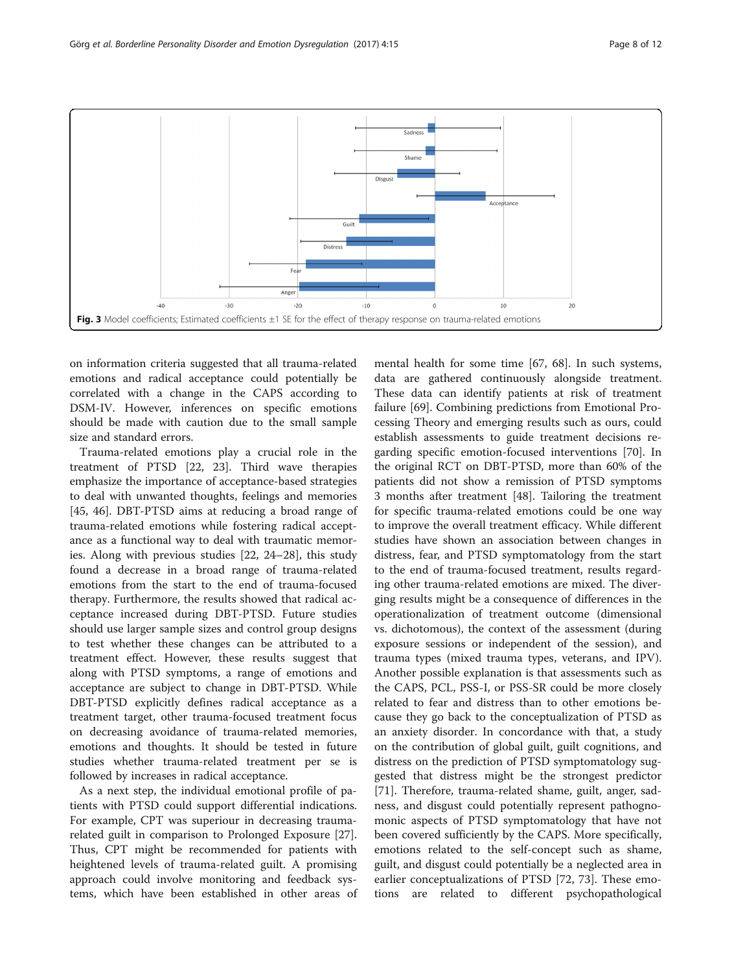<span id="page-7-0"></span>

on information criteria suggested that all trauma-related emotions and radical acceptance could potentially be correlated with a change in the CAPS according to DSM-IV. However, inferences on specific emotions should be made with caution due to the small sample size and standard errors.

Trauma-related emotions play a crucial role in the treatment of PTSD [\[22, 23](#page-9-0)]. Third wave therapies emphasize the importance of acceptance-based strategies to deal with unwanted thoughts, feelings and memories [[45, 46\]](#page-10-0). DBT-PTSD aims at reducing a broad range of trauma-related emotions while fostering radical acceptance as a functional way to deal with traumatic memories. Along with previous studies [[22, 24](#page-9-0)–[28](#page-9-0)], this study found a decrease in a broad range of trauma-related emotions from the start to the end of trauma-focused therapy. Furthermore, the results showed that radical acceptance increased during DBT-PTSD. Future studies should use larger sample sizes and control group designs to test whether these changes can be attributed to a treatment effect. However, these results suggest that along with PTSD symptoms, a range of emotions and acceptance are subject to change in DBT-PTSD. While DBT-PTSD explicitly defines radical acceptance as a treatment target, other trauma-focused treatment focus on decreasing avoidance of trauma-related memories, emotions and thoughts. It should be tested in future studies whether trauma-related treatment per se is followed by increases in radical acceptance.

As a next step, the individual emotional profile of patients with PTSD could support differential indications. For example, CPT was superiour in decreasing traumarelated guilt in comparison to Prolonged Exposure [\[27](#page-9-0)]. Thus, CPT might be recommended for patients with heightened levels of trauma-related guilt. A promising approach could involve monitoring and feedback systems, which have been established in other areas of mental health for some time [\[67](#page-10-0), [68](#page-10-0)]. In such systems, data are gathered continuously alongside treatment. These data can identify patients at risk of treatment failure [[69\]](#page-10-0). Combining predictions from Emotional Processing Theory and emerging results such as ours, could establish assessments to guide treatment decisions regarding specific emotion-focused interventions [\[70\]](#page-10-0). In the original RCT on DBT-PTSD, more than 60% of the patients did not show a remission of PTSD symptoms 3 months after treatment [\[48](#page-10-0)]. Tailoring the treatment for specific trauma-related emotions could be one way to improve the overall treatment efficacy. While different studies have shown an association between changes in distress, fear, and PTSD symptomatology from the start to the end of trauma-focused treatment, results regarding other trauma-related emotions are mixed. The diverging results might be a consequence of differences in the operationalization of treatment outcome (dimensional vs. dichotomous), the context of the assessment (during exposure sessions or independent of the session), and trauma types (mixed trauma types, veterans, and IPV). Another possible explanation is that assessments such as the CAPS, PCL, PSS-I, or PSS-SR could be more closely related to fear and distress than to other emotions because they go back to the conceptualization of PTSD as an anxiety disorder. In concordance with that, a study on the contribution of global guilt, guilt cognitions, and distress on the prediction of PTSD symptomatology suggested that distress might be the strongest predictor [[71\]](#page-10-0). Therefore, trauma-related shame, guilt, anger, sadness, and disgust could potentially represent pathognomonic aspects of PTSD symptomatology that have not been covered sufficiently by the CAPS. More specifically, emotions related to the self-concept such as shame, guilt, and disgust could potentially be a neglected area in earlier conceptualizations of PTSD [\[72](#page-10-0), [73\]](#page-10-0). These emotions are related to different psychopathological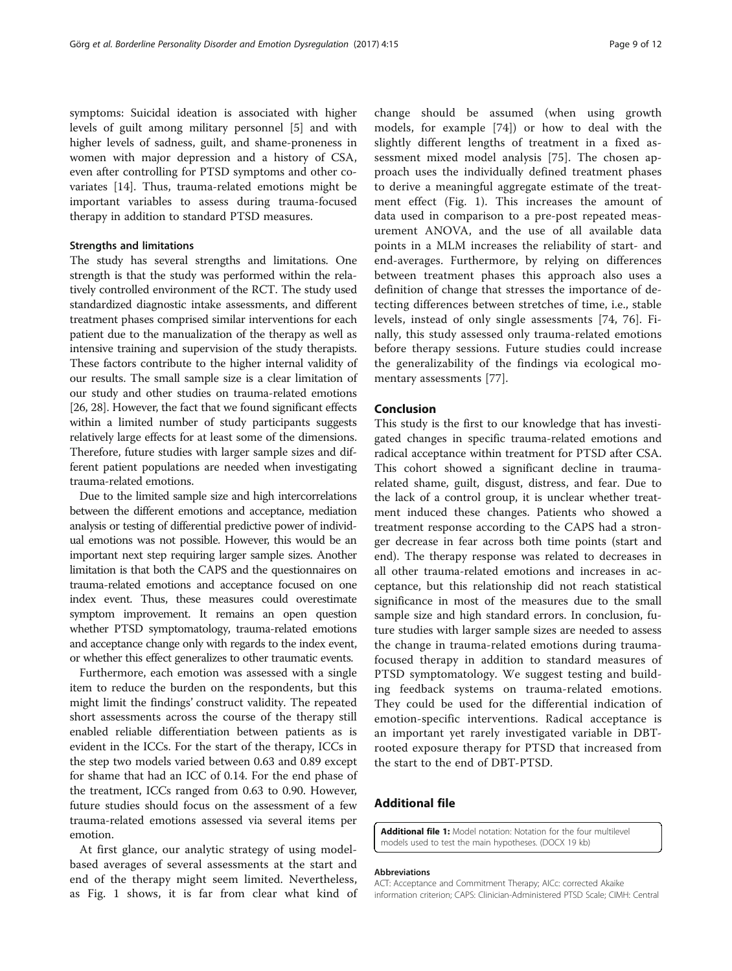<span id="page-8-0"></span>symptoms: Suicidal ideation is associated with higher levels of guilt among military personnel [\[5\]](#page-9-0) and with higher levels of sadness, guilt, and shame-proneness in women with major depression and a history of CSA, even after controlling for PTSD symptoms and other covariates [[14\]](#page-9-0). Thus, trauma-related emotions might be important variables to assess during trauma-focused therapy in addition to standard PTSD measures.

## Strengths and limitations

The study has several strengths and limitations. One strength is that the study was performed within the relatively controlled environment of the RCT. The study used standardized diagnostic intake assessments, and different treatment phases comprised similar interventions for each patient due to the manualization of the therapy as well as intensive training and supervision of the study therapists. These factors contribute to the higher internal validity of our results. The small sample size is a clear limitation of our study and other studies on trauma-related emotions [[26](#page-9-0), [28\]](#page-9-0). However, the fact that we found significant effects within a limited number of study participants suggests relatively large effects for at least some of the dimensions. Therefore, future studies with larger sample sizes and different patient populations are needed when investigating trauma-related emotions.

Due to the limited sample size and high intercorrelations between the different emotions and acceptance, mediation analysis or testing of differential predictive power of individual emotions was not possible. However, this would be an important next step requiring larger sample sizes. Another limitation is that both the CAPS and the questionnaires on trauma-related emotions and acceptance focused on one index event. Thus, these measures could overestimate symptom improvement. It remains an open question whether PTSD symptomatology, trauma-related emotions and acceptance change only with regards to the index event, or whether this effect generalizes to other traumatic events.

Furthermore, each emotion was assessed with a single item to reduce the burden on the respondents, but this might limit the findings' construct validity. The repeated short assessments across the course of the therapy still enabled reliable differentiation between patients as is evident in the ICCs. For the start of the therapy, ICCs in the step two models varied between 0.63 and 0.89 except for shame that had an ICC of 0.14. For the end phase of the treatment, ICCs ranged from 0.63 to 0.90. However, future studies should focus on the assessment of a few trauma-related emotions assessed via several items per emotion.

At first glance, our analytic strategy of using modelbased averages of several assessments at the start and end of the therapy might seem limited. Nevertheless, as Fig. [1](#page-4-0) shows, it is far from clear what kind of change should be assumed (when using growth models, for example [\[74](#page-10-0)]) or how to deal with the slightly different lengths of treatment in a fixed assessment mixed model analysis [\[75](#page-10-0)]. The chosen approach uses the individually defined treatment phases to derive a meaningful aggregate estimate of the treatment effect (Fig. [1](#page-4-0)). This increases the amount of data used in comparison to a pre-post repeated measurement ANOVA, and the use of all available data points in a MLM increases the reliability of start- and end-averages. Furthermore, by relying on differences between treatment phases this approach also uses a definition of change that stresses the importance of detecting differences between stretches of time, i.e., stable levels, instead of only single assessments [\[74](#page-10-0), [76](#page-11-0)]. Finally, this study assessed only trauma-related emotions before therapy sessions. Future studies could increase the generalizability of the findings via ecological momentary assessments [\[77](#page-11-0)].

## Conclusion

This study is the first to our knowledge that has investigated changes in specific trauma-related emotions and radical acceptance within treatment for PTSD after CSA. This cohort showed a significant decline in traumarelated shame, guilt, disgust, distress, and fear. Due to the lack of a control group, it is unclear whether treatment induced these changes. Patients who showed a treatment response according to the CAPS had a stronger decrease in fear across both time points (start and end). The therapy response was related to decreases in all other trauma-related emotions and increases in acceptance, but this relationship did not reach statistical significance in most of the measures due to the small sample size and high standard errors. In conclusion, future studies with larger sample sizes are needed to assess the change in trauma-related emotions during traumafocused therapy in addition to standard measures of PTSD symptomatology. We suggest testing and building feedback systems on trauma-related emotions. They could be used for the differential indication of emotion-specific interventions. Radical acceptance is an important yet rarely investigated variable in DBTrooted exposure therapy for PTSD that increased from the start to the end of DBT-PTSD.

## Additional file

[Additional file 1:](dx.doi.org/10.1186/s40479-017-0065-5) Model notation: Notation for the four multilevel models used to test the main hypotheses. (DOCX 19 kb)

#### Abbreviations

ACT: Acceptance and Commitment Therapy; AICc: corrected Akaike information criterion; CAPS: Clinician-Administered PTSD Scale; CIMH: Central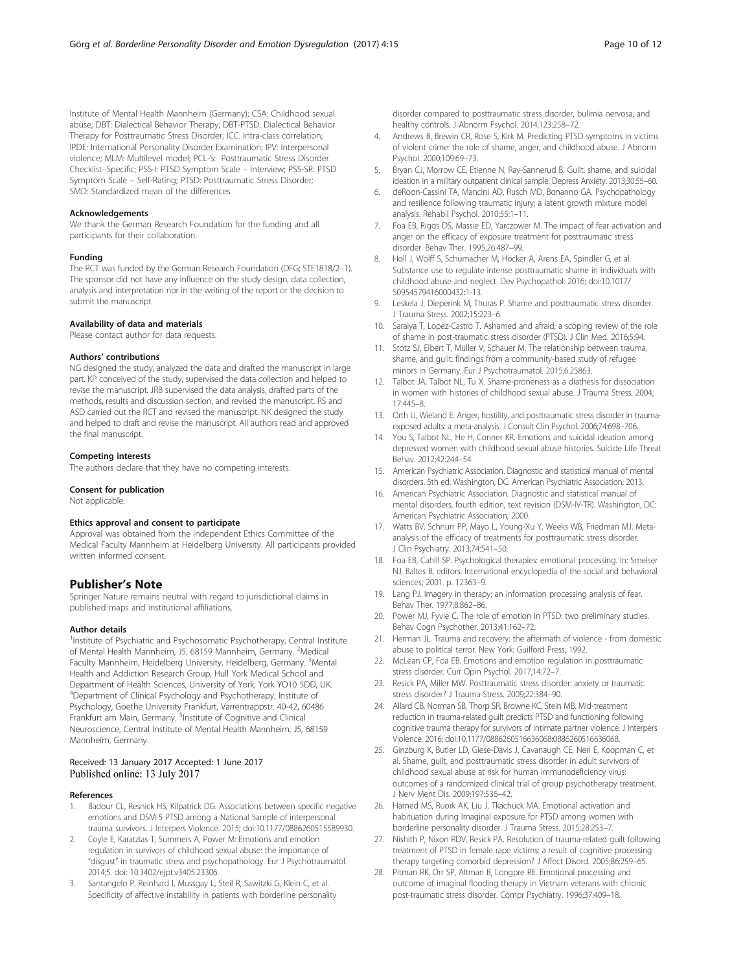<span id="page-9-0"></span>Institute of Mental Health Mannheim (Germany); CSA: Childhood sexual abuse; DBT: Dialectical Behavior Therapy; DBT-PTSD: Dialectical Behavior Therapy for Posttraumatic Stress Disorder; ICC: Intra-class correlation; IPDE: International Personality Disorder Examination; IPV: Interpersonal violence; MLM: Multilevel model; PCL-S: Posttraumatic Stress Disorder Checklist–Specific; PSS-I: PTSD Symptom Scale – Interview; PSS-SR: PTSD Symptom Scale – Self-Rating; PTSD: Posttraumatic Stress Disorder; SMD: Standardized mean of the differences

#### Acknowledgements

We thank the German Research Foundation for the funding and all participants for their collaboration.

#### Funding

The RCT was funded by the German Research Foundation (DFG; STE1818/2–1). The sponsor did not have any influence on the study design, data collection, analysis and interpretation nor in the writing of the report or the decision to submit the manuscript.

#### Availability of data and materials

Please contact author for data requests.

#### Authors' contributions

NG designed the study, analyzed the data and drafted the manuscript in large part. KP conceived of the study, supervised the data collection and helped to revise the manuscript. JRB supervised the data analysis, drafted parts of the methods, results and discussion section, and revised the manuscript. RS and ASD carried out the RCT and revised the manuscript. NK designed the study and helped to draft and revise the manuscript. All authors read and approved the final manuscript.

#### Competing interests

The authors declare that they have no competing interests.

#### Consent for publication

Not applicable.

#### Ethics approval and consent to participate

Approval was obtained from the independent Ethics Committee of the Medical Faculty Mannheim at Heidelberg University. All participants provided written informed consent.

## Publisher's Note

Springer Nature remains neutral with regard to jurisdictional claims in published maps and institutional affiliations.

#### Author details

<sup>1</sup>Institute of Psychiatric and Psychosomatic Psychotherapy, Central Institute of Mental Health Mannheim, J5, 68159 Mannheim, Germany. <sup>2</sup>Medical Faculty Mannheim, Heidelberg University, Heidelberg, Germany. <sup>3</sup>Mental Health and Addiction Research Group, Hull York Medical School and Department of Health Sciences, University of York, York YO10 5DD, UK. 4 Department of Clinical Psychology and Psychotherapy, Institute of Psychology, Goethe University Frankfurt, Varrentrappstr. 40-42, 60486 Frankfurt am Main, Germany. <sup>5</sup>Institute of Cognitive and Clinical Neuroscience, Central Institute of Mental Health Mannheim, J5, 68159 Mannheim, Germany.

## Received: 13 January 2017 Accepted: 1 June 2017 Published online: 13 July 2017

#### References

- 1. Badour CL, Resnick HS, Kilpatrick DG. Associations between specific negative emotions and DSM-5 PTSD among a National Sample of interpersonal trauma survivors. J Interpers Violence. 2015; doi[:10.1177/0886260515589930.](http://dx.doi.org/10.1177/0886260515589930)
- 2. Coyle E, Karatzias T, Summers A, Power M: Emotions and emotion regulation in survivors of childhood sexual abuse: the importance of "disgust" in traumatic stress and psychopathology. Eur J Psychotraumatol. 2014;5. doi: [10.3402/ejpt.v3405.23306](http://dx.doi.org/10.3402/ejpt.v3405.23306).
- 3. Santangelo P, Reinhard I, Mussgay L, Steil R, Sawitzki G, Klein C, et al. Specificity of affective instability in patients with borderline personality

disorder compared to posttraumatic stress disorder, bulimia nervosa, and healthy controls. J Abnorm Psychol. 2014;123:258–72.

- 4. Andrews B, Brewin CR, Rose S, Kirk M. Predicting PTSD symptoms in victims of violent crime: the role of shame, anger, and childhood abuse. J Abnorm Psychol. 2000;109:69–73.
- 5. Bryan CJ, Morrow CE, Etienne N, Ray-Sannerud B. Guilt, shame, and suicidal ideation in a military outpatient clinical sample. Depress Anxiety. 2013;30:55–60.
- 6. deRoon-Cassini TA, Mancini AD, Rusch MD, Bonanno GA. Psychopathology and resilience following traumatic injury: a latent growth mixture model analysis. Rehabil Psychol. 2010;55:1–11.
- 7. Foa EB, Riggs DS, Massie ED, Yarczower M. The impact of fear activation and anger on the efficacy of exposure treatment for posttraumatic stress disorder. Behav Ther. 1995;26:487–99.
- 8. Holl J, Wolff S, Schumacher M, Höcker A, Arens EA, Spindler G, et al. Substance use to regulate intense posttraumatic shame in individuals with childhood abuse and neglect. Dev Psychopathol. 2016; doi[:10.1017/](http://dx.doi.org/10.1017/S0954579416000432:1-13) [S0954579416000432](http://dx.doi.org/10.1017/S0954579416000432:1-13):1-13.
- 9. Leskela J, Dieperink M, Thuras P. Shame and posttraumatic stress disorder. J Trauma Stress. 2002;15:223–6.
- 10. Saraiya T, Lopez-Castro T. Ashamed and afraid: a scoping review of the role of shame in post-traumatic stress disorder (PTSD). J Clin Med. 2016;5:94.
- 11. Stotz SJ, Elbert T, Müller V, Schauer M. The relationship between trauma, shame, and guilt: findings from a community-based study of refugee minors in Germany. Eur J Psychotraumatol. 2015;6:25863.
- 12. Talbot JA, Talbot NL, Tu X. Shame-proneness as a diathesis for dissociation in women with histories of childhood sexual abuse. J Trauma Stress. 2004; 17:445–8.
- 13. Orth U, Wieland E. Anger, hostility, and posttraumatic stress disorder in traumaexposed adults: a meta-analysis. J Consult Clin Psychol. 2006;74:698–706.
- 14. You S, Talbot NL, He H, Conner KR. Emotions and suicidal ideation among depressed women with childhood sexual abuse histories. Suicide Life Threat Behav. 2012;42:244–54.
- 15. American Psychiatric Association. Diagnostic and statistical manual of mental disorders. 5th ed. Washington, DC: American Psychiatric Association; 2013.
- 16. American Psychiatric Association. Diagnostic and statistical manual of mental disorders, fourth edition, text revision (DSM-IV-TR). Washington, DC: American Psychiatric Association; 2000.
- 17. Watts BV, Schnurr PP, Mayo L, Young-Xu Y, Weeks WB, Friedman MJ. Metaanalysis of the efficacy of treatments for posttraumatic stress disorder. J Clin Psychiatry. 2013;74:541–50.
- 18. Foa EB, Cahill SP. Psychological therapies: emotional processing. In: Smelser NJ, Baltes B, editors. International encyclopedia of the social and behavioral sciences; 2001. p. 12363–9.
- 19. Lang PJ. Imagery in therapy: an information processing analysis of fear. Behav Ther. 1977;8:862–86.
- 20. Power MJ, Fyvie C. The role of emotion in PTSD: two preliminary studies. Behav Cogn Psychother. 2013;41:162–72.
- 21. Herman JL. Trauma and recovery: the aftermath of violence from domestic abuse to political terror. New York: Guilford Press; 1992.
- 22. McLean CP, Foa EB. Emotions and emotion regulation in posttraumatic stress disorder. Curr Opin Psychol. 2017;14:72–7.
- 23. Resick PA, Miller MW. Posttraumatic stress disorder: anxiety or traumatic stress disorder? J Trauma Stress. 2009;22:384–90.
- 24. Allard CB, Norman SB, Thorp SR, Browne KC, Stein MB. Mid-treatment reduction in trauma-related guilt predicts PTSD and functioning following cognitive trauma therapy for survivors of intimate partner violence. J Interpers Violence. 2016; doi[:10.1177/0886260516636068](http://dx.doi.org/10.1177/0886260516636068:0886260516636068):0886260516636068.
- 25. Ginzburg K, Butler LD, Giese-Davis J, Cavanaugh CE, Neri E, Koopman C, et al. Shame, guilt, and posttraumatic stress disorder in adult survivors of childhood sexual abuse at risk for human immunodeficiency virus: outcomes of a randomized clinical trial of group psychotherapy treatment. J Nerv Ment Dis. 2009;197:536–42.
- 26. Harned MS, Ruork AK, Liu J, Tkachuck MA. Emotional activation and habituation during Imaginal exposure for PTSD among women with borderline personality disorder. J Trauma Stress. 2015;28:253–7.
- 27. Nishith P, Nixon RDV, Resick PA. Resolution of trauma-related guilt following treatment of PTSD in female rape victims: a result of cognitive processing therapy targeting comorbid depression? J Affect Disord. 2005;86:259–65.
- 28. Pitman RK, Orr SP, Altman B, Longpre RE. Emotional processing and outcome of imaginal flooding therapy in Vietnam veterans with chronic post-traumatic stress disorder. Compr Psychiatry. 1996;37:409–18.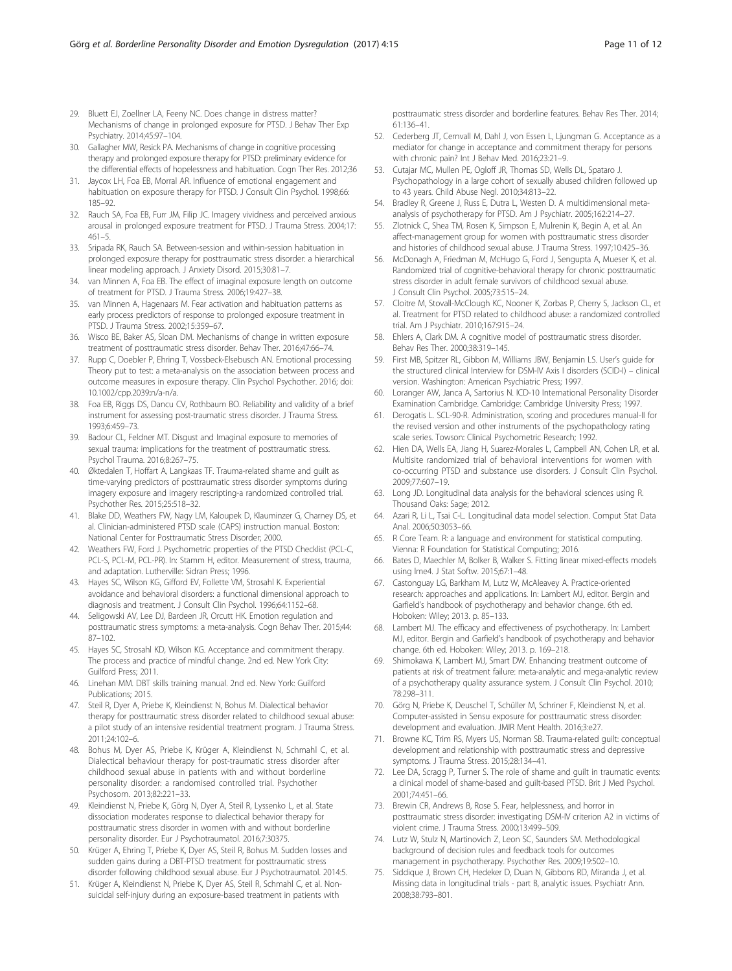- <span id="page-10-0"></span>29. Bluett EJ, Zoellner LA, Feeny NC. Does change in distress matter? Mechanisms of change in prolonged exposure for PTSD. J Behav Ther Exp Psychiatry. 2014;45:97–104.
- 30. Gallagher MW, Resick PA. Mechanisms of change in cognitive processing therapy and prolonged exposure therapy for PTSD: preliminary evidence for the differential effects of hopelessness and habituation. Cogn Ther Res. 2012;36
- 31. Jaycox LH, Foa EB, Morral AR. Influence of emotional engagement and habituation on exposure therapy for PTSD. J Consult Clin Psychol. 1998;66: 185–92.
- 32. Rauch SA, Foa EB, Furr JM, Filip JC. Imagery vividness and perceived anxious arousal in prolonged exposure treatment for PTSD. J Trauma Stress. 2004;17: 461–5.
- 33. Sripada RK, Rauch SA. Between-session and within-session habituation in prolonged exposure therapy for posttraumatic stress disorder: a hierarchical linear modeling approach. J Anxiety Disord. 2015;30:81–7.
- 34. van Minnen A, Foa EB. The effect of imaginal exposure length on outcome of treatment for PTSD. J Trauma Stress. 2006;19:427–38.
- 35. van Minnen A, Hagenaars M. Fear activation and habituation patterns as early process predictors of response to prolonged exposure treatment in PTSD. J Trauma Stress. 2002;15:359–67.
- 36. Wisco BE, Baker AS, Sloan DM. Mechanisms of change in written exposure treatment of posttraumatic stress disorder. Behav Ther. 2016;47:66–74.
- 37. Rupp C, Doebler P, Ehring T, Vossbeck-Elsebusch AN. Emotional processing Theory put to test: a meta-analysis on the association between process and outcome measures in exposure therapy. Clin Psychol Psychother. 2016; doi: [10.1002/cpp.2039](http://dx.doi.org/10.1002/cpp.2039:n/a-n/a):n/a-n/a.
- 38. Foa EB, Riggs DS, Dancu CV, Rothbaum BO. Reliability and validity of a brief instrument for assessing post-traumatic stress disorder. J Trauma Stress. 1993;6:459–73.
- 39. Badour CL, Feldner MT. Disgust and Imaginal exposure to memories of sexual trauma: implications for the treatment of posttraumatic stress. Psychol Trauma. 2016;8:267–75.
- 40. Øktedalen T, Hoffart A, Langkaas TF. Trauma-related shame and guilt as time-varying predictors of posttraumatic stress disorder symptoms during imagery exposure and imagery rescripting-a randomized controlled trial. Psychother Res. 2015;25:518–32.
- 41. Blake DD, Weathers FW, Nagy LM, Kaloupek D, Klauminzer G, Charney DS, et al. Clinician-administered PTSD scale (CAPS) instruction manual. Boston: National Center for Posttraumatic Stress Disorder; 2000.
- 42. Weathers FW, Ford J. Psychometric properties of the PTSD Checklist (PCL-C, PCL-S, PCL-M, PCL-PR). In: Stamm H, editor. Measurement of stress, trauma, and adaptation. Lutherville: Sidran Press; 1996.
- 43. Hayes SC, Wilson KG, Gifford EV, Follette VM, Strosahl K. Experiential avoidance and behavioral disorders: a functional dimensional approach to diagnosis and treatment. J Consult Clin Psychol. 1996;64:1152–68.
- 44. Seligowski AV, Lee DJ, Bardeen JR, Orcutt HK. Emotion regulation and posttraumatic stress symptoms: a meta-analysis. Cogn Behav Ther. 2015;44: 87–102.
- 45. Hayes SC, Strosahl KD, Wilson KG. Acceptance and commitment therapy. The process and practice of mindful change. 2nd ed. New York City: Guilford Press; 2011.
- 46. Linehan MM. DBT skills training manual. 2nd ed. New York: Guilford Publications; 2015.
- 47. Steil R, Dyer A, Priebe K, Kleindienst N, Bohus M. Dialectical behavior therapy for posttraumatic stress disorder related to childhood sexual abuse: a pilot study of an intensive residential treatment program. J Trauma Stress. 2011;24:102–6.
- 48. Bohus M, Dyer AS, Priebe K, Krüger A, Kleindienst N, Schmahl C, et al. Dialectical behaviour therapy for post-traumatic stress disorder after childhood sexual abuse in patients with and without borderline personality disorder: a randomised controlled trial. Psychother Psychosom. 2013;82:221–33.
- 49. Kleindienst N, Priebe K, Görg N, Dyer A, Steil R, Lyssenko L, et al. State dissociation moderates response to dialectical behavior therapy for posttraumatic stress disorder in women with and without borderline personality disorder. Eur J Psychotraumatol. 2016;7:30375.
- 50. Krüger A, Ehring T, Priebe K, Dyer AS, Steil R, Bohus M. Sudden losses and sudden gains during a DBT-PTSD treatment for posttraumatic stress disorder following childhood sexual abuse. Eur J Psychotraumatol. 2014:5.
- 51. Krüger A, Kleindienst N, Priebe K, Dyer AS, Steil R, Schmahl C, et al. Nonsuicidal self-injury during an exposure-based treatment in patients with

posttraumatic stress disorder and borderline features. Behav Res Ther. 2014; 61:136–41.

- 52. Cederberg JT, Cernvall M, Dahl J, von Essen L, Ljungman G. Acceptance as a mediator for change in acceptance and commitment therapy for persons with chronic pain? Int J Behav Med. 2016;23:21–9.
- 53. Cutajar MC, Mullen PE, Ogloff JR, Thomas SD, Wells DL, Spataro J. Psychopathology in a large cohort of sexually abused children followed up to 43 years. Child Abuse Negl. 2010;34:813–22.
- 54. Bradley R, Greene J, Russ E, Dutra L, Westen D. A multidimensional metaanalysis of psychotherapy for PTSD. Am J Psychiatr. 2005;162:214–27.
- 55. Zlotnick C, Shea TM, Rosen K, Simpson E, Mulrenin K, Begin A, et al. An affect-management group for women with posttraumatic stress disorder and histories of childhood sexual abuse. J Trauma Stress. 1997;10:425–36.
- 56. McDonagh A, Friedman M, McHugo G, Ford J, Sengupta A, Mueser K, et al. Randomized trial of cognitive-behavioral therapy for chronic posttraumatic stress disorder in adult female survivors of childhood sexual abuse. J Consult Clin Psychol. 2005;73:515–24.
- 57. Cloitre M, Stovall-McClough KC, Nooner K, Zorbas P, Cherry S, Jackson CL, et al. Treatment for PTSD related to childhood abuse: a randomized controlled trial. Am J Psychiatr. 2010;167:915–24.
- 58. Ehlers A, Clark DM. A cognitive model of posttraumatic stress disorder. Behav Res Ther. 2000;38:319–145.
- 59. First MB, Spitzer RL, Gibbon M, Williams JBW, Benjamin LS. User's guide for the structured clinical Interview for DSM-IV Axis I disorders (SCID-I) – clinical version. Washington: American Psychiatric Press; 1997.
- 60. Loranger AW, Janca A, Sartorius N. ICD-10 International Personality Disorder Examination Cambridge. Cambridge: Cambridge University Press; 1997.
- 61. Derogatis L. SCL-90-R. Administration, scoring and procedures manual-II for the revised version and other instruments of the psychopathology rating scale series. Towson: Clinical Psychometric Research; 1992.
- 62. Hien DA, Wells EA, Jiang H, Suarez-Morales L, Campbell AN, Cohen LR, et al. Multisite randomized trial of behavioral interventions for women with co-occurring PTSD and substance use disorders. J Consult Clin Psychol. 2009;77:607–19.
- 63. Long JD. Longitudinal data analysis for the behavioral sciences using R. Thousand Oaks: Sage; 2012.
- 64. Azari R, Li L, Tsai C-L. Longitudinal data model selection. Comput Stat Data Anal. 2006;50:3053–66.
- 65. R Core Team. R: a language and environment for statistical computing. Vienna: R Foundation for Statistical Computing; 2016.
- 66. Bates D, Maechler M, Bolker B, Walker S. Fitting linear mixed-effects models using lme4. J Stat Softw. 2015;67:1–48.
- 67. Castonguay LG, Barkham M, Lutz W, McAleavey A. Practice-oriented research: approaches and applications. In: Lambert MJ, editor. Bergin and Garfield's handbook of psychotherapy and behavior change. 6th ed. Hoboken: Wiley; 2013. p. 85–133.
- 68. Lambert MJ. The efficacy and effectiveness of psychotherapy. In: Lambert MJ, editor. Bergin and Garfield's handbook of psychotherapy and behavior change. 6th ed. Hoboken: Wiley; 2013. p. 169–218.
- 69. Shimokawa K, Lambert MJ, Smart DW. Enhancing treatment outcome of patients at risk of treatment failure: meta-analytic and mega-analytic review of a psychotherapy quality assurance system. J Consult Clin Psychol. 2010; 78:298–311.
- 70. Görg N, Priebe K, Deuschel T, Schüller M, Schriner F, Kleindienst N, et al. Computer-assisted in Sensu exposure for posttraumatic stress disorder: development and evaluation. JMIR Ment Health. 2016;3:e27.
- 71. Browne KC, Trim RS, Myers US, Norman SB. Trauma-related guilt: conceptual development and relationship with posttraumatic stress and depressive symptoms. J Trauma Stress. 2015;28:134–41.
- 72. Lee DA, Scragg P, Turner S. The role of shame and guilt in traumatic events: a clinical model of shame-based and guilt-based PTSD. Brit J Med Psychol. 2001;74:451–66.
- 73. Brewin CR, Andrews B, Rose S. Fear, helplessness, and horror in posttraumatic stress disorder: investigating DSM-IV criterion A2 in victims of violent crime. J Trauma Stress. 2000;13:499–509.
- 74. Lutz W, Stulz N, Martinovich Z, Leon SC, Saunders SM. Methodological background of decision rules and feedback tools for outcomes management in psychotherapy. Psychother Res. 2009;19:502–10.
- 75. Siddique J, Brown CH, Hedeker D, Duan N, Gibbons RD, Miranda J, et al. Missing data in longitudinal trials - part B, analytic issues. Psychiatr Ann. 2008;38:793–801.